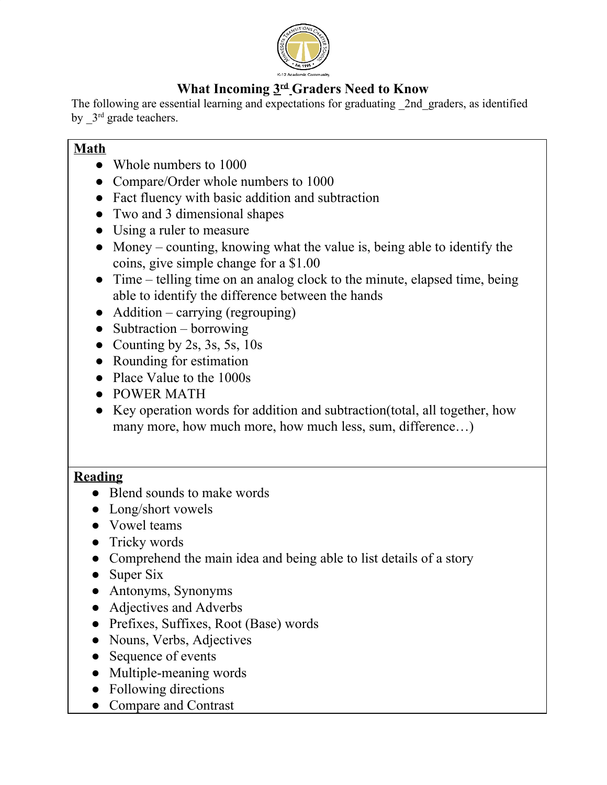

## **What Incoming 3 rd Graders Need to Know**

The following are essential learning and expectations for graduating 2nd graders, as identified by  $3<sup>rd</sup>$  grade teachers.

#### **Math**

- Whole numbers to 1000
- Compare/Order whole numbers to 1000
- Fact fluency with basic addition and subtraction
- Two and 3 dimensional shapes
- Using a ruler to measure
- Money counting, knowing what the value is, being able to identify the coins, give simple change for a \$1.00
- Time telling time on an analog clock to the minute, elapsed time, being able to identify the difference between the hands
- $\bullet$  Addition carrying (regrouping)
- $\bullet$  Subtraction borrowing
- Counting by 2s, 3s, 5s,  $10s$
- Rounding for estimation
- Place Value to the 1000s
- POWER MATH
- Key operation words for addition and subtraction(total, all together, how many more, how much more, how much less, sum, difference...)

#### **Reading**

- Blend sounds to make words
- Long/short vowels
- Vowel teams
- Tricky words
- Comprehend the main idea and being able to list details of a story
- Super Six
- Antonyms, Synonyms
- Adjectives and Adverbs
- Prefixes, Suffixes, Root (Base) words
- Nouns, Verbs, Adjectives
- Sequence of events
- Multiple-meaning words
- Following directions
- Compare and Contrast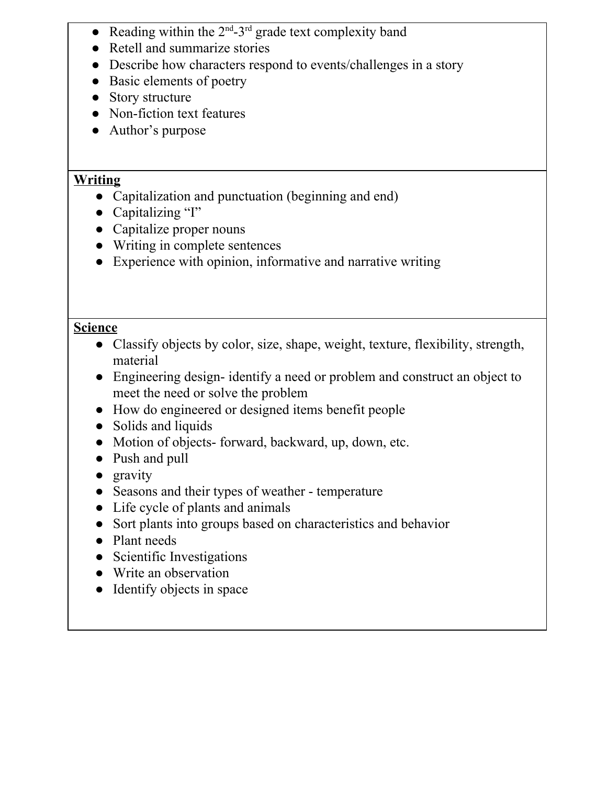- Reading within the  $2<sup>nd</sup>$ -3<sup>rd</sup> grade text complexity band
- Retell and summarize stories
- Describe how characters respond to events/challenges in a story
- Basic elements of poetry
- Story structure
- Non-fiction text features
- Author's purpose

### **Writing**

- Capitalization and punctuation (beginning and end)
- Capitalizing "I"
- Capitalize proper nouns
- Writing in complete sentences
- Experience with opinion, informative and narrative writing

### **Science**

- Classify objects by color, size, shape, weight, texture, flexibility, strength, material
- Engineering design-identify a need or problem and construct an object to meet the need or solve the problem
- How do engineered or designed items benefit people
- Solids and liquids
- Motion of objects-forward, backward, up, down, etc.
- Push and pull
- gravity
- Seasons and their types of weather temperature
- Life cycle of plants and animals
- Sort plants into groups based on characteristics and behavior
- Plant needs
- Scientific Investigations
- Write an observation
- Identify objects in space